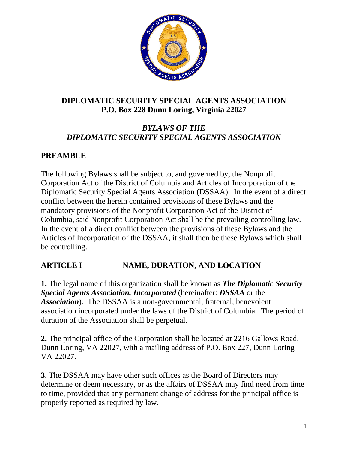

#### **DIPLOMATIC SECURITY SPECIAL AGENTS ASSOCIATION P.O. Box 228 Dunn Loring, Virginia 22027**

### *BYLAWS OF THE DIPLOMATIC SECURITY SPECIAL AGENTS ASSOCIATION*

#### **PREAMBLE**

The following Bylaws shall be subject to, and governed by, the Nonprofit Corporation Act of the District of Columbia and Articles of Incorporation of the Diplomatic Security Special Agents Association (DSSAA). In the event of a direct conflict between the herein contained provisions of these Bylaws and the mandatory provisions of the Nonprofit Corporation Act of the District of Columbia, said Nonprofit Corporation Act shall be the prevailing controlling law. In the event of a direct conflict between the provisions of these Bylaws and the Articles of Incorporation of the DSSAA, it shall then be these Bylaws which shall be controlling.

### **ARTICLE I NAME, DURATION, AND LOCATION**

**1.** The legal name of this organization shall be known as *The Diplomatic Security Special Agents Association, Incorporated* (hereinafter: *DSSAA* or the *Association*).The DSSAA is a non-governmental, fraternal, benevolent association incorporated under the laws of the District of Columbia. The period of duration of the Association shall be perpetual.

**2.** The principal office of the Corporation shall be located at 2216 Gallows Road, Dunn Loring, VA 22027, with a mailing address of P.O. Box 227, Dunn Loring VA 22027.

**3.** The DSSAA may have other such offices as the Board of Directors may determine or deem necessary, or as the affairs of DSSAA may find need from time to time, provided that any permanent change of address for the principal office is properly reported as required by law.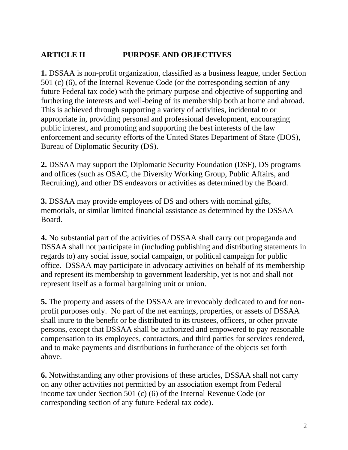### **ARTICLE II PURPOSE AND OBJECTIVES**

**1.** DSSAA is non-profit organization, classified as a business league, under Section 501 (c) (6), of the Internal Revenue Code (or the corresponding section of any future Federal tax code) with the primary purpose and objective of supporting and furthering the interests and well-being of its membership both at home and abroad. This is achieved through supporting a variety of activities, incidental to or appropriate in, providing personal and professional development, encouraging public interest, and promoting and supporting the best interests of the law enforcement and security efforts of the United States Department of State (DOS), Bureau of Diplomatic Security (DS).

**2.** DSSAA may support the Diplomatic Security Foundation (DSF), DS programs and offices (such as OSAC, the Diversity Working Group, Public Affairs, and Recruiting), and other DS endeavors or activities as determined by the Board.

**3.** DSSAA may provide employees of DS and others with nominal gifts, memorials, or similar limited financial assistance as determined by the DSSAA Board.

**4.** No substantial part of the activities of DSSAA shall carry out propaganda and DSSAA shall not participate in (including publishing and distributing statements in regards to) any social issue, social campaign, or political campaign for public office. DSSAA may participate in advocacy activities on behalf of its membership and represent its membership to government leadership, yet is not and shall not represent itself as a formal bargaining unit or union.

**5.** The property and assets of the DSSAA are irrevocably dedicated to and for nonprofit purposes only. No part of the net earnings, properties, or assets of DSSAA shall inure to the benefit or be distributed to its trustees, officers, or other private persons, except that DSSAA shall be authorized and empowered to pay reasonable compensation to its employees, contractors, and third parties for services rendered, and to make payments and distributions in furtherance of the objects set forth above.

**6.** Notwithstanding any other provisions of these articles, DSSAA shall not carry on any other activities not permitted by an association exempt from Federal income tax under Section 501 (c) (6) of the Internal Revenue Code (or corresponding section of any future Federal tax code).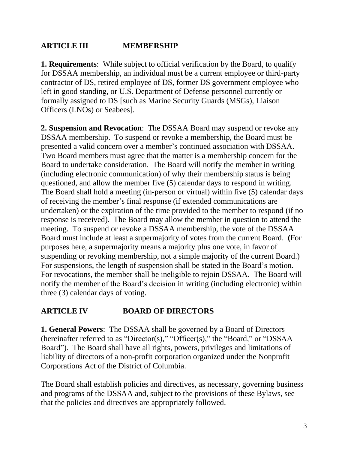### **ARTICLE III MEMBERSHIP**

**1. Requirements**: While subject to official verification by the Board, to qualify for DSSAA membership, an individual must be a current employee or third-party contractor of DS, retired employee of DS, former DS government employee who left in good standing, or U.S. Department of Defense personnel currently or formally assigned to DS [such as Marine Security Guards (MSGs), Liaison Officers (LNOs) or Seabees].

**2. Suspension and Revocation**: The DSSAA Board may suspend or revoke any DSSAA membership. To suspend or revoke a membership, the Board must be presented a valid concern over a member's continued association with DSSAA. Two Board members must agree that the matter is a membership concern for the Board to undertake consideration. The Board will notify the member in writing (including electronic communication) of why their membership status is being questioned, and allow the member five (5) calendar days to respond in writing. The Board shall hold a meeting (in-person or virtual) within five (5) calendar days of receiving the member's final response (if extended communications are undertaken) or the expiration of the time provided to the member to respond (if no response is received). The Board may allow the member in question to attend the meeting. To suspend or revoke a DSSAA membership, the vote of the DSSAA Board must include at least a supermajority of votes from the current Board. **(**For purposes here, a supermajority means a majority plus one vote, in favor of suspending or revoking membership, not a simple majority of the current Board.) For suspensions, the length of suspension shall be stated in the Board's motion. For revocations, the member shall be ineligible to rejoin DSSAA. The Board will notify the member of the Board's decision in writing (including electronic) within three (3) calendar days of voting.

#### **ARTICLE IV BOARD OF DIRECTORS**

**1. General Powers**: The DSSAA shall be governed by a Board of Directors (hereinafter referred to as "Director(s)," "Officer(s)," the "Board," or "DSSAA Board"). The Board shall have all rights, powers, privileges and limitations of liability of directors of a non-profit corporation organized under the Nonprofit Corporations Act of the District of Columbia.

The Board shall establish policies and directives, as necessary, governing business and programs of the DSSAA and, subject to the provisions of these Bylaws, see that the policies and directives are appropriately followed.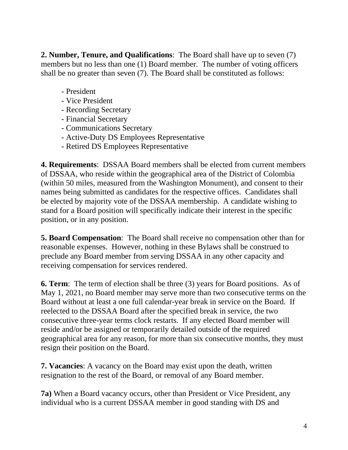**2. Number, Tenure, and Qualifications**: The Board shall have up to seven (7) members but no less than one (1) Board member. The number of voting officers shall be no greater than seven (7). The Board shall be constituted as follows:

- President
- Vice President
- Recording Secretary
- Financial Secretary
- Communications Secretary
- Active-Duty DS Employees Representative
- Retired DS Employees Representative

**4. Requirements**: DSSAA Board members shall be elected from current members of DSSAA, who reside within the geographical area of the District of Colombia (within 50 miles, measured from the Washington Monument), and consent to their names being submitted as candidates for the respective offices. Candidates shall be elected by majority vote of the DSSAA membership. A candidate wishing to stand for a Board position will specifically indicate their interest in the specific position, or in any position.

**5. Board Compensation**: The Board shall receive no compensation other than for reasonable expenses. However, nothing in these Bylaws shall be construed to preclude any Board member from serving DSSAA in any other capacity and receiving compensation for services rendered.

**6. Term**: The term of election shall be three (3) years for Board positions. As of May 1, 2021, no Board member may serve more than two consecutive terms on the Board without at least a one full calendar-year break in service on the Board. If reelected to the DSSAA Board after the specified break in service, the two consecutive three-year terms clock restarts. If any elected Board member will reside and/or be assigned or temporarily detailed outside of the required geographical area for any reason, for more than six consecutive months, they must resign their position on the Board.

**7. Vacancies**: A vacancy on the Board may exist upon the death, written resignation to the rest of the Board, or removal of any Board member.

**7a)** When a Board vacancy occurs, other than President or Vice President, any individual who is a current DSSAA member in good standing with DS and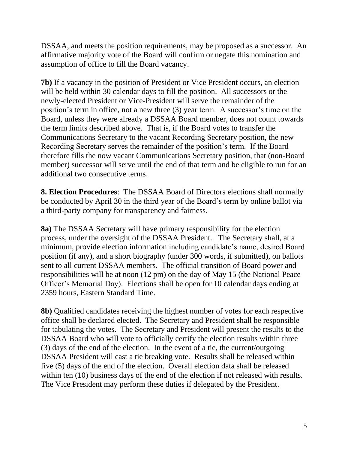DSSAA, and meets the position requirements, may be proposed as a successor. An affirmative majority vote of the Board will confirm or negate this nomination and assumption of office to fill the Board vacancy.

**7b)** If a vacancy in the position of President or Vice President occurs, an election will be held within 30 calendar days to fill the position. All successors or the newly-elected President or Vice-President will serve the remainder of the position's term in office, not a new three (3) year term. A successor's time on the Board, unless they were already a DSSAA Board member, does not count towards the term limits described above. That is, if the Board votes to transfer the Communications Secretary to the vacant Recording Secretary position, the new Recording Secretary serves the remainder of the position's term. If the Board therefore fills the now vacant Communications Secretary position, that (non-Board member) successor will serve until the end of that term and be eligible to run for an additional two consecutive terms.

**8. Election Procedures**: The DSSAA Board of Directors elections shall normally be conducted by April 30 in the third year of the Board's term by online ballot via a third-party company for transparency and fairness.

**8a)** The DSSAA Secretary will have primary responsibility for the election process, under the oversight of the DSSAA President. The Secretary shall, at a minimum, provide election information including candidate's name, desired Board position (if any), and a short biography (under 300 words, if submitted), on ballots sent to all current DSSAA members. The official transition of Board power and responsibilities will be at noon (12 pm) on the day of May 15 (the National Peace Officer's Memorial Day). Elections shall be open for 10 calendar days ending at 2359 hours, Eastern Standard Time.

**8b)** Qualified candidates receiving the highest number of votes for each respective office shall be declared elected. The Secretary and President shall be responsible for tabulating the votes. The Secretary and President will present the results to the DSSAA Board who will vote to officially certify the election results within three (3) days of the end of the election. In the event of a tie, the current/outgoing DSSAA President will cast a tie breaking vote. Results shall be released within five (5) days of the end of the election. Overall election data shall be released within ten (10) business days of the end of the election if not released with results. The Vice President may perform these duties if delegated by the President.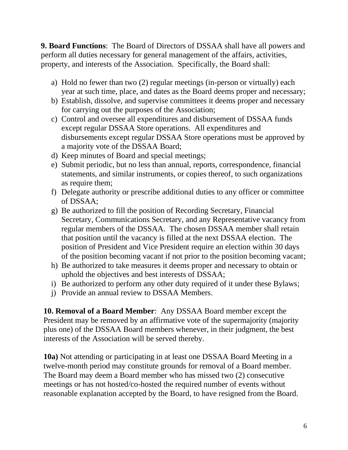**9. Board Functions**: The Board of Directors of DSSAA shall have all powers and perform all duties necessary for general management of the affairs, activities, property, and interests of the Association. Specifically, the Board shall:

- a) Hold no fewer than two (2) regular meetings (in-person or virtually) each year at such time, place, and dates as the Board deems proper and necessary;
- b) Establish, dissolve, and supervise committees it deems proper and necessary for carrying out the purposes of the Association;
- c) Control and oversee all expenditures and disbursement of DSSAA funds except regular DSSAA Store operations. All expenditures and disbursements except regular DSSAA Store operations must be approved by a majority vote of the DSSAA Board;
- d) Keep minutes of Board and special meetings;
- e) Submit periodic, but no less than annual, reports, correspondence, financial statements, and similar instruments, or copies thereof, to such organizations as require them;
- f) Delegate authority or prescribe additional duties to any officer or committee of DSSAA;
- g) Be authorized to fill the position of Recording Secretary, Financial Secretary, Communications Secretary, and any Representative vacancy from regular members of the DSSAA. The chosen DSSAA member shall retain that position until the vacancy is filled at the next DSSAA election. The position of President and Vice President require an election within 30 days of the position becoming vacant if not prior to the position becoming vacant;
- h) Be authorized to take measures it deems proper and necessary to obtain or uphold the objectives and best interests of DSSAA;
- i) Be authorized to perform any other duty required of it under these Bylaws;
- j) Provide an annual review to DSSAA Members.

**10. Removal of a Board Member**: Any DSSAA Board member except the President may be removed by an affirmative vote of the supermajority (majority plus one) of the DSSAA Board members whenever, in their judgment, the best interests of the Association will be served thereby.

**10a)** Not attending or participating in at least one DSSAA Board Meeting in a twelve-month period may constitute grounds for removal of a Board member. The Board may deem a Board member who has missed two (2) consecutive meetings or has not hosted/co-hosted the required number of events without reasonable explanation accepted by the Board, to have resigned from the Board.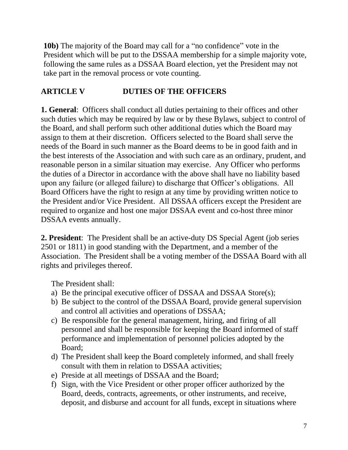**10b**) The majority of the Board may call for a "no confidence" vote in the President which will be put to the DSSAA membership for a simple majority vote, following the same rules as a DSSAA Board election, yet the President may not take part in the removal process or vote counting.

## **ARTICLE V DUTIES OF THE OFFICERS**

**1. General**: Officers shall conduct all duties pertaining to their offices and other such duties which may be required by law or by these Bylaws, subject to control of the Board, and shall perform such other additional duties which the Board may assign to them at their discretion. Officers selected to the Board shall serve the needs of the Board in such manner as the Board deems to be in good faith and in the best interests of the Association and with such care as an ordinary, prudent, and reasonable person in a similar situation may exercise. Any Officer who performs the duties of a Director in accordance with the above shall have no liability based upon any failure (or alleged failure) to discharge that Officer's obligations. All Board Officers have the right to resign at any time by providing written notice to the President and/or Vice President. All DSSAA officers except the President are required to organize and host one major DSSAA event and co-host three minor DSSAA events annually.

**2. President**: The President shall be an active-duty DS Special Agent (job series 2501 or 1811) in good standing with the Department, and a member of the Association. The President shall be a voting member of the DSSAA Board with all rights and privileges thereof.

The President shall:

- a) Be the principal executive officer of DSSAA and DSSAA Store(s);
- b) Be subject to the control of the DSSAA Board, provide general supervision and control all activities and operations of DSSAA;
- c) Be responsible for the general management, hiring, and firing of all personnel and shall be responsible for keeping the Board informed of staff performance and implementation of personnel policies adopted by the Board;
- d) The President shall keep the Board completely informed, and shall freely consult with them in relation to DSSAA activities;
- e) Preside at all meetings of DSSAA and the Board;
- f) Sign, with the Vice President or other proper officer authorized by the Board, deeds, contracts, agreements, or other instruments, and receive, deposit, and disburse and account for all funds, except in situations where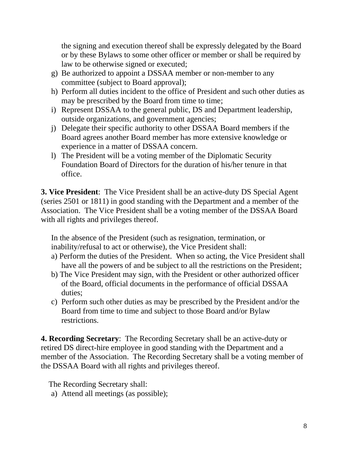the signing and execution thereof shall be expressly delegated by the Board or by these Bylaws to some other officer or member or shall be required by law to be otherwise signed or executed;

- g) Be authorized to appoint a DSSAA member or non-member to any committee (subject to Board approval);
- h) Perform all duties incident to the office of President and such other duties as may be prescribed by the Board from time to time;
- i) Represent DSSAA to the general public, DS and Department leadership, outside organizations, and government agencies;
- j) Delegate their specific authority to other DSSAA Board members if the Board agrees another Board member has more extensive knowledge or experience in a matter of DSSAA concern.
- l) The President will be a voting member of the Diplomatic Security Foundation Board of Directors for the duration of his/her tenure in that office.

**3. Vice President**: The Vice President shall be an active-duty DS Special Agent (series 2501 or 1811) in good standing with the Department and a member of the Association. The Vice President shall be a voting member of the DSSAA Board with all rights and privileges thereof.

In the absence of the President (such as resignation, termination, or inability/refusal to act or otherwise), the Vice President shall:

- a) Perform the duties of the President. When so acting, the Vice President shall have all the powers of and be subject to all the restrictions on the President;
- b) The Vice President may sign, with the President or other authorized officer of the Board, official documents in the performance of official DSSAA duties;
- c) Perform such other duties as may be prescribed by the President and/or the Board from time to time and subject to those Board and/or Bylaw restrictions.

**4. Recording Secretary**: The Recording Secretary shall be an active-duty or retired DS direct-hire employee in good standing with the Department and a member of the Association. The Recording Secretary shall be a voting member of the DSSAA Board with all rights and privileges thereof.

The Recording Secretary shall:

a) Attend all meetings (as possible);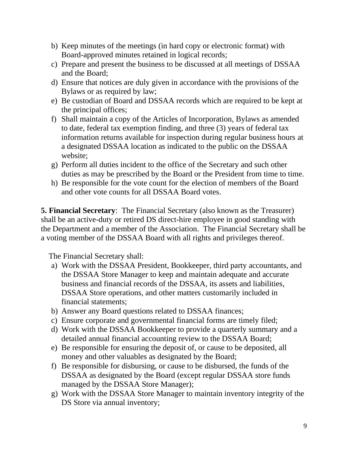- b) Keep minutes of the meetings (in hard copy or electronic format) with Board-approved minutes retained in logical records;
- c) Prepare and present the business to be discussed at all meetings of DSSAA and the Board;
- d) Ensure that notices are duly given in accordance with the provisions of the Bylaws or as required by law;
- e) Be custodian of Board and DSSAA records which are required to be kept at the principal offices;
- f) Shall maintain a copy of the Articles of Incorporation, Bylaws as amended to date, federal tax exemption finding, and three (3) years of federal tax information returns available for inspection during regular business hours at a designated DSSAA location as indicated to the public on the DSSAA website;
- g) Perform all duties incident to the office of the Secretary and such other duties as may be prescribed by the Board or the President from time to time.
- h) Be responsible for the vote count for the election of members of the Board and other vote counts for all DSSAA Board votes.

**5. Financial Secretary**: The Financial Secretary (also known as the Treasurer) shall be an active-duty or retired DS direct-hire employee in good standing with the Department and a member of the Association. The Financial Secretary shall be a voting member of the DSSAA Board with all rights and privileges thereof.

The Financial Secretary shall:

- a) Work with the DSSAA President, Bookkeeper, third party accountants, and the DSSAA Store Manager to keep and maintain adequate and accurate business and financial records of the DSSAA, its assets and liabilities, DSSAA Store operations, and other matters customarily included in financial statements;
- b) Answer any Board questions related to DSSAA finances;
- c) Ensure corporate and governmental financial forms are timely filed;
- d) Work with the DSSAA Bookkeeper to provide a quarterly summary and a detailed annual financial accounting review to the DSSAA Board;
- e) Be responsible for ensuring the deposit of, or cause to be deposited, all money and other valuables as designated by the Board;
- f) Be responsible for disbursing, or cause to be disbursed, the funds of the DSSAA as designated by the Board (except regular DSSAA store funds managed by the DSSAA Store Manager);
- g) Work with the DSSAA Store Manager to maintain inventory integrity of the DS Store via annual inventory;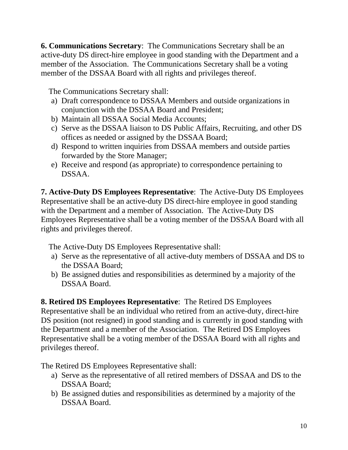**6. Communications Secretary**: The Communications Secretary shall be an active-duty DS direct-hire employee in good standing with the Department and a member of the Association. The Communications Secretary shall be a voting member of the DSSAA Board with all rights and privileges thereof.

The Communications Secretary shall:

- a) Draft correspondence to DSSAA Members and outside organizations in conjunction with the DSSAA Board and President;
- b) Maintain all DSSAA Social Media Accounts;
- c) Serve as the DSSAA liaison to DS Public Affairs, Recruiting, and other DS offices as needed or assigned by the DSSAA Board;
- d) Respond to written inquiries from DSSAA members and outside parties forwarded by the Store Manager;
- e) Receive and respond (as appropriate) to correspondence pertaining to DSSAA.

**7. Active-Duty DS Employees Representative**: The Active-Duty DS Employees Representative shall be an active-duty DS direct-hire employee in good standing with the Department and a member of Association. The Active-Duty DS Employees Representative shall be a voting member of the DSSAA Board with all rights and privileges thereof.

The Active-Duty DS Employees Representative shall:

- a) Serve as the representative of all active-duty members of DSSAA and DS to the DSSAA Board;
- b) Be assigned duties and responsibilities as determined by a majority of the DSSAA Board.

**8. Retired DS Employees Representative**: The Retired DS Employees Representative shall be an individual who retired from an active-duty, direct-hire DS position (not resigned) in good standing and is currently in good standing with the Department and a member of the Association. The Retired DS Employees Representative shall be a voting member of the DSSAA Board with all rights and privileges thereof.

The Retired DS Employees Representative shall:

- a) Serve as the representative of all retired members of DSSAA and DS to the DSSAA Board;
- b) Be assigned duties and responsibilities as determined by a majority of the DSSAA Board.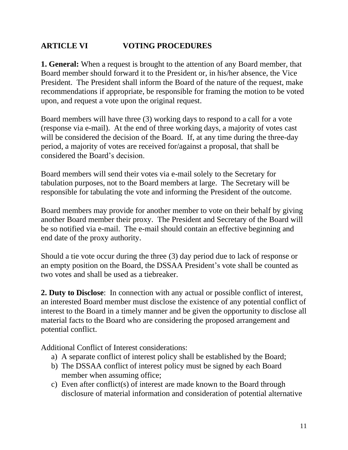### **ARTICLE VI VOTING PROCEDURES**

**1. General:** When a request is brought to the attention of any Board member, that Board member should forward it to the President or, in his/her absence, the Vice President. The President shall inform the Board of the nature of the request, make recommendations if appropriate, be responsible for framing the motion to be voted upon, and request a vote upon the original request.

Board members will have three (3) working days to respond to a call for a vote (response via e-mail). At the end of three working days, a majority of votes cast will be considered the decision of the Board. If, at any time during the three-day period, a majority of votes are received for/against a proposal, that shall be considered the Board's decision.

Board members will send their votes via e-mail solely to the Secretary for tabulation purposes, not to the Board members at large. The Secretary will be responsible for tabulating the vote and informing the President of the outcome.

Board members may provide for another member to vote on their behalf by giving another Board member their proxy. The President and Secretary of the Board will be so notified via e-mail. The e-mail should contain an effective beginning and end date of the proxy authority.

Should a tie vote occur during the three (3) day period due to lack of response or an empty position on the Board, the DSSAA President's vote shall be counted as two votes and shall be used as a tiebreaker.

**2. Duty to Disclose**: In connection with any actual or possible conflict of interest, an interested Board member must disclose the existence of any potential conflict of interest to the Board in a timely manner and be given the opportunity to disclose all material facts to the Board who are considering the proposed arrangement and potential conflict.

Additional Conflict of Interest considerations:

- a) A separate conflict of interest policy shall be established by the Board;
- b) The DSSAA conflict of interest policy must be signed by each Board member when assuming office;
- c) Even after conflict(s) of interest are made known to the Board through disclosure of material information and consideration of potential alternative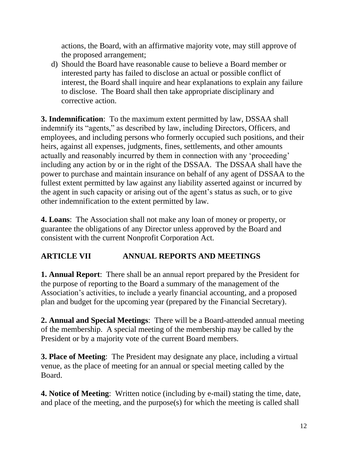actions, the Board, with an affirmative majority vote, may still approve of the proposed arrangement;

d) Should the Board have reasonable cause to believe a Board member or interested party has failed to disclose an actual or possible conflict of interest, the Board shall inquire and hear explanations to explain any failure to disclose. The Board shall then take appropriate disciplinary and corrective action.

**3. Indemnification**: To the maximum extent permitted by law, DSSAA shall indemnify its "agents," as described by law, including Directors, Officers, and employees, and including persons who formerly occupied such positions, and their heirs, against all expenses, judgments, fines, settlements, and other amounts actually and reasonably incurred by them in connection with any 'proceeding' including any action by or in the right of the DSSAA. The DSSAA shall have the power to purchase and maintain insurance on behalf of any agent of DSSAA to the fullest extent permitted by law against any liability asserted against or incurred by the agent in such capacity or arising out of the agent's status as such, or to give other indemnification to the extent permitted by law.

**4. Loans**: The Association shall not make any loan of money or property, or guarantee the obligations of any Director unless approved by the Board and consistent with the current Nonprofit Corporation Act.

## **ARTICLE VII ANNUAL REPORTS AND MEETINGS**

**1. Annual Report**: There shall be an annual report prepared by the President for the purpose of reporting to the Board a summary of the management of the Association's activities, to include a yearly financial accounting, and a proposed plan and budget for the upcoming year (prepared by the Financial Secretary).

**2. Annual and Special Meetings**: There will be a Board-attended annual meeting of the membership. A special meeting of the membership may be called by the President or by a majority vote of the current Board members.

**3. Place of Meeting**: The President may designate any place, including a virtual venue, as the place of meeting for an annual or special meeting called by the Board.

**4. Notice of Meeting**: Written notice (including by e-mail) stating the time, date, and place of the meeting, and the purpose(s) for which the meeting is called shall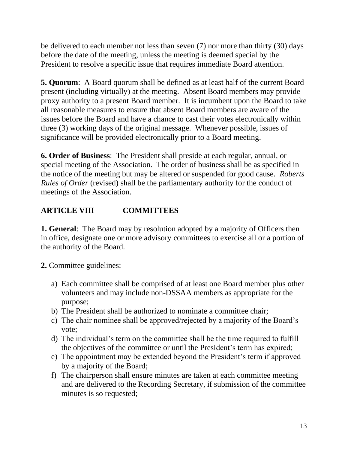be delivered to each member not less than seven (7) nor more than thirty (30) days before the date of the meeting, unless the meeting is deemed special by the President to resolve a specific issue that requires immediate Board attention.

**5. Quorum**: A Board quorum shall be defined as at least half of the current Board present (including virtually) at the meeting. Absent Board members may provide proxy authority to a present Board member. It is incumbent upon the Board to take all reasonable measures to ensure that absent Board members are aware of the issues before the Board and have a chance to cast their votes electronically within three (3) working days of the original message. Whenever possible, issues of significance will be provided electronically prior to a Board meeting.

**6. Order of Business**: The President shall preside at each regular, annual, or special meeting of the Association. The order of business shall be as specified in the notice of the meeting but may be altered or suspended for good cause. *Roberts Rules of Order* (revised) shall be the parliamentary authority for the conduct of meetings of the Association.

# **ARTICLE VIII COMMITTEES**

**1. General**: The Board may by resolution adopted by a majority of Officers then in office, designate one or more advisory committees to exercise all or a portion of the authority of the Board.

**2.** Committee guidelines:

- a) Each committee shall be comprised of at least one Board member plus other volunteers and may include non-DSSAA members as appropriate for the purpose;
- b) The President shall be authorized to nominate a committee chair;
- c) The chair nominee shall be approved/rejected by a majority of the Board's vote;
- d) The individual's term on the committee shall be the time required to fulfill the objectives of the committee or until the President's term has expired;
- e) The appointment may be extended beyond the President's term if approved by a majority of the Board;
- f) The chairperson shall ensure minutes are taken at each committee meeting and are delivered to the Recording Secretary, if submission of the committee minutes is so requested;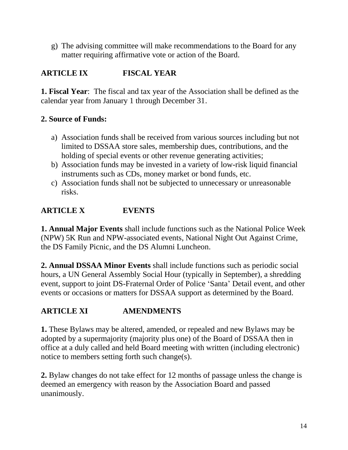g) The advising committee will make recommendations to the Board for any matter requiring affirmative vote or action of the Board.

# **ARTICLE IX FISCAL YEAR**

**1. Fiscal Year**: The fiscal and tax year of the Association shall be defined as the calendar year from January 1 through December 31.

#### **2. Source of Funds:**

- a) Association funds shall be received from various sources including but not limited to DSSAA store sales, membership dues, contributions, and the holding of special events or other revenue generating activities;
- b) Association funds may be invested in a variety of low-risk liquid financial instruments such as CDs, money market or bond funds, etc.
- c) Association funds shall not be subjected to unnecessary or unreasonable risks.

## **ARTICLE X EVENTS**

**1. Annual Major Events** shall include functions such as the National Police Week (NPW) 5K Run and NPW-associated events, National Night Out Against Crime, the DS Family Picnic, and the DS Alumni Luncheon.

**2. Annual DSSAA Minor Events** shall include functions such as periodic social hours, a UN General Assembly Social Hour (typically in September), a shredding event, support to joint DS-Fraternal Order of Police 'Santa' Detail event, and other events or occasions or matters for DSSAA support as determined by the Board.

## **ARTICLE XI AMENDMENTS**

**1.** These Bylaws may be altered, amended, or repealed and new Bylaws may be adopted by a supermajority (majority plus one) of the Board of DSSAA then in office at a duly called and held Board meeting with written (including electronic) notice to members setting forth such change(s).

**2.** Bylaw changes do not take effect for 12 months of passage unless the change is deemed an emergency with reason by the Association Board and passed unanimously.